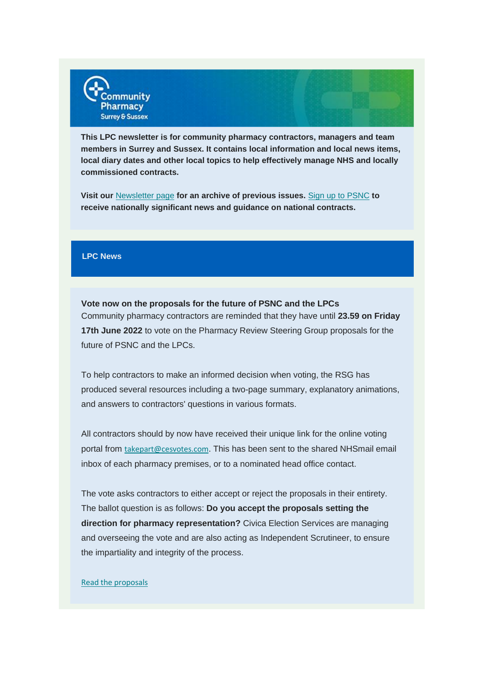

**This LPC newsletter is for community pharmacy contractors, managers and team members in Surrey and Sussex. It contains local information and local news items, local diary dates and other local topics to help effectively manage NHS and locally commissioned contracts.**

**Visit our** [Newsletter page](https://communitypharmacyss.us7.list-manage.com/track/click?u=33f7e892f0f58b8b9ecc659cf&id=7205a60973&e=2bf65ab530) **for an archive of previous issues.** Sign [up to PSNC](https://communitypharmacyss.us7.list-manage.com/track/click?u=33f7e892f0f58b8b9ecc659cf&id=3781df657d&e=2bf65ab530) **to receive nationally significant news and guidance on national contracts.**

#### **LPC News**

**Vote now on the proposals for the future of PSNC and the LPCs** Community pharmacy contractors are reminded that they have until **23.59 on Friday 17th June 2022** to vote on the Pharmacy Review Steering Group proposals for the future of PSNC and the LPCs.

To help contractors to make an informed decision when voting, the RSG has produced several resources including a two-page summary, explanatory animations, and answers to contractors' questions in various formats.

All contractors should by now have received their unique link for the online voting portal from [takepart@cesvotes.com](mailto:takepart@cesvotes.com). This has been sent to the shared NHSmail email inbox of each pharmacy premises, or to a nominated head office contact.

The vote asks contractors to either accept or reject the proposals in their entirety. The ballot question is as follows: **Do you accept the proposals setting the direction for pharmacy representation?** Civica Election Services are managing and overseeing the vote and are also acting as Independent Scrutineer, to ensure the impartiality and integrity of the process.

#### [Read the proposals](https://communitypharmacyss.us7.list-manage.com/track/click?u=33f7e892f0f58b8b9ecc659cf&id=d2b2cc8542&e=2bf65ab530)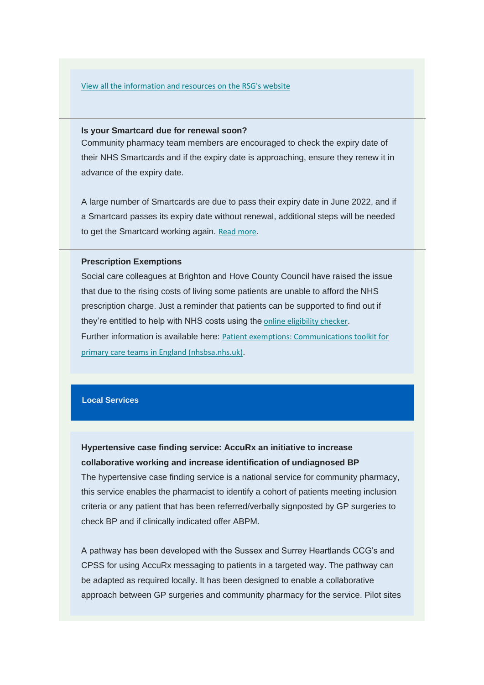#### [View all the information and resources on the RSG's website](https://communitypharmacyss.us7.list-manage.com/track/click?u=33f7e892f0f58b8b9ecc659cf&id=b8d99fd5fc&e=2bf65ab530)

#### **Is your Smartcard due for renewal soon?**

Community pharmacy team members are encouraged to check the expiry date of their NHS Smartcards and if the expiry date is approaching, ensure they renew it in advance of the expiry date.

A large number of Smartcards are due to pass their expiry date in June 2022, and if a Smartcard passes its expiry date without renewal, additional steps will be needed to get the Smartcard working again. [Read more](https://communitypharmacyss.us7.list-manage.com/track/click?u=33f7e892f0f58b8b9ecc659cf&id=0223b22c9d&e=2bf65ab530).

### **Prescription Exemptions**

Social care colleagues at Brighton and Hove County Council have raised the issue that due to the rising costs of living some patients are unable to afford the NHS prescription charge. Just a reminder that patients can be supported to find out if they're entitled to help with NHS costs using the [online eligibility checker](https://communitypharmacyss.us7.list-manage.com/track/click?u=33f7e892f0f58b8b9ecc659cf&id=c8c6164572&e=2bf65ab530). Further information is available here: [Patient exemptions: Communications toolkit for](https://communitypharmacyss.us7.list-manage.com/track/click?u=33f7e892f0f58b8b9ecc659cf&id=bd9137aa55&e=2bf65ab530)  [primary care teams in England \(nhsbsa.nhs.uk\)](https://communitypharmacyss.us7.list-manage.com/track/click?u=33f7e892f0f58b8b9ecc659cf&id=bd9137aa55&e=2bf65ab530).

#### **Local Services**

## **Hypertensive case finding service: AccuRx an initiative to increase collaborative working and increase identification of undiagnosed BP**

The hypertensive case finding service is a national service for community pharmacy, this service enables the pharmacist to identify a cohort of patients meeting inclusion criteria or any patient that has been referred/verbally signposted by GP surgeries to check BP and if clinically indicated offer ABPM.

A pathway has been developed with the Sussex and Surrey Heartlands CCG's and CPSS for using AccuRx messaging to patients in a targeted way. The pathway can be adapted as required locally. It has been designed to enable a collaborative approach between GP surgeries and community pharmacy for the service. Pilot sites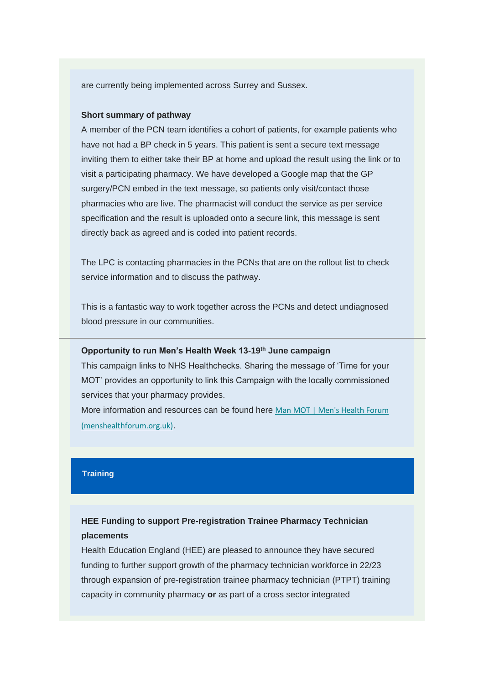are currently being implemented across Surrey and Sussex.

## **Short summary of pathway**

A member of the PCN team identifies a cohort of patients, for example patients who have not had a BP check in 5 years. This patient is sent a secure text message inviting them to either take their BP at home and upload the result using the link or to visit a participating pharmacy. We have developed a Google map that the GP surgery/PCN embed in the text message, so patients only visit/contact those pharmacies who are live. The pharmacist will conduct the service as per service specification and the result is uploaded onto a secure link, this message is sent directly back as agreed and is coded into patient records.

The LPC is contacting pharmacies in the PCNs that are on the rollout list to check service information and to discuss the pathway.

This is a fantastic way to work together across the PCNs and detect undiagnosed blood pressure in our communities.

#### **Opportunity to run Men's Health Week 13-19th June campaign**

This campaign links to NHS Healthchecks. Sharing the message of 'Time for your MOT' provides an opportunity to link this Campaign with the locally commissioned services that your pharmacy provides.

More information and resources can be found here Man MOT | Men's Health Forum [\(menshealthforum.org.uk\)](https://communitypharmacyss.us7.list-manage.com/track/click?u=33f7e892f0f58b8b9ecc659cf&id=7c9aaf2a21&e=2bf65ab530).

## **Training**

# **HEE Funding to support Pre-registration Trainee Pharmacy Technician placements**

Health Education England (HEE) are pleased to announce they have secured funding to further support growth of the pharmacy technician workforce in 22/23 through expansion of pre-registration trainee pharmacy technician (PTPT) training capacity in community pharmacy **or** as part of a cross sector integrated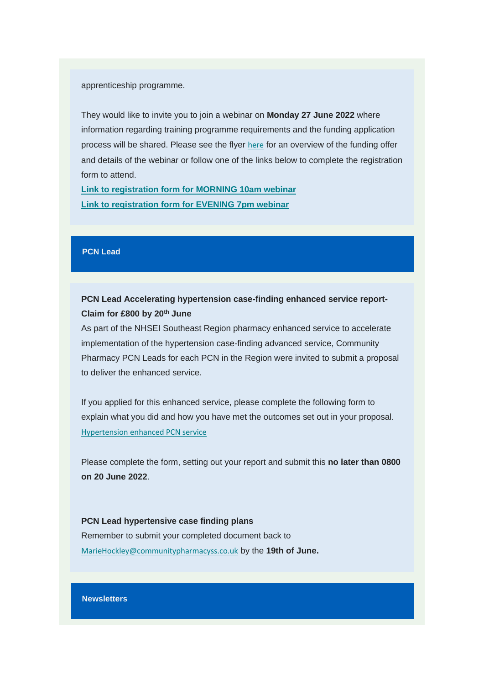apprenticeship programme.

They would like to invite you to join a webinar on **Monday 27 June 2022** where information regarding training programme requirements and the funding application process will be shared. Please see the flyer [here](https://communitypharmacyss.us7.list-manage.com/track/click?u=33f7e892f0f58b8b9ecc659cf&id=179e4e5f80&e=2bf65ab530) for an overview of the funding offer and details of the webinar or follow one of the links below to complete the registration form to attend.

**[Link to registration form for MORNING 10am webinar](https://communitypharmacyss.us7.list-manage.com/track/click?u=33f7e892f0f58b8b9ecc659cf&id=9c0b1907ac&e=2bf65ab530) [Link to registration form for EVENING 7pm webinar](https://communitypharmacyss.us7.list-manage.com/track/click?u=33f7e892f0f58b8b9ecc659cf&id=8464bb1d6c&e=2bf65ab530)**

#### **PCN Lead**

## **PCN Lead Accelerating hypertension case-finding enhanced service report-Claim for £800 by 20th June**

As part of the NHSEI Southeast Region pharmacy enhanced service to accelerate implementation of the hypertension case-finding advanced service, Community Pharmacy PCN Leads for each PCN in the Region were invited to submit a proposal to deliver the enhanced service.

If you applied for this enhanced service, please complete the following form to explain what you did and how you have met the outcomes set out in your proposal. [Hypertension enhanced PCN service](https://communitypharmacyss.us7.list-manage.com/track/click?u=33f7e892f0f58b8b9ecc659cf&id=4397e524e1&e=2bf65ab530)

Please complete the form, setting out your report and submit this **no later than 0800 on 20 June 2022**.

**PCN Lead hypertensive case finding plans**  Remember to submit your completed document back to [MarieHockley@communitypharmacyss.co.uk](mailto:MarieHockley@communitypharmacyss.co.uk) by the **19th of June.**

#### **Newsletters**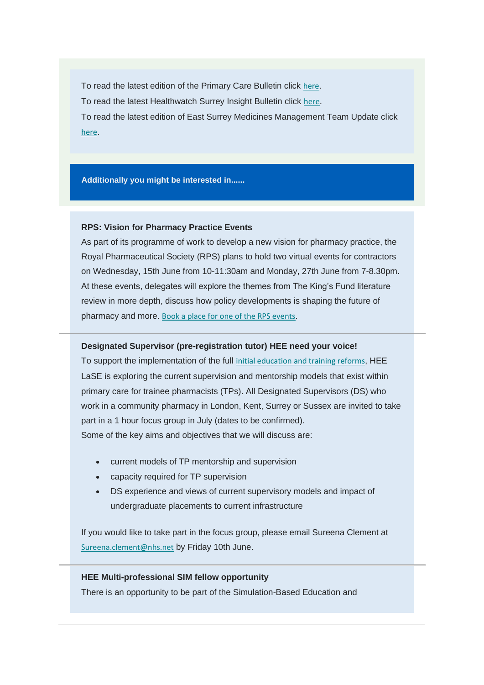To read the latest edition of the Primary Care Bulletin click [here](https://communitypharmacyss.us7.list-manage.com/track/click?u=33f7e892f0f58b8b9ecc659cf&id=ef2c233d8f&e=2bf65ab530). To read the latest Healthwatch Surrey Insight Bulletin click [here](https://communitypharmacyss.us7.list-manage.com/track/click?u=33f7e892f0f58b8b9ecc659cf&id=2efb6965e7&e=2bf65ab530). To read the latest edition of East Surrey Medicines Management Team Update click [here](https://communitypharmacyss.us7.list-manage.com/track/click?u=33f7e892f0f58b8b9ecc659cf&id=5e9ba7a221&e=2bf65ab530).

#### **Additionally you might be interested in......**

#### **RPS: Vision for Pharmacy Practice Events**

As part of its programme of work to develop a new vision for pharmacy practice, the Royal Pharmaceutical Society (RPS) plans to hold two virtual events for contractors on Wednesday, 15th June from 10-11:30am and Monday, 27th June from 7-8.30pm. At these events, delegates will explore the themes from The King's Fund literature review in more depth, discuss how policy developments is shaping the future of pharmacy and more. [Book a place for one of the RPS events](https://communitypharmacyss.us7.list-manage.com/track/click?u=33f7e892f0f58b8b9ecc659cf&id=435a741d96&e=2bf65ab530).

#### **Designated Supervisor (pre-registration tutor) HEE need your voice!**

To support the implementation of the full [initial education and training reforms](https://communitypharmacyss.us7.list-manage.com/track/click?u=33f7e892f0f58b8b9ecc659cf&id=e3a801e590&e=2bf65ab530), HEE LaSE is exploring the current supervision and mentorship models that exist within primary care for trainee pharmacists (TPs). All Designated Supervisors (DS) who work in a community pharmacy in London, Kent, Surrey or Sussex are invited to take part in a 1 hour focus group in July (dates to be confirmed). Some of the key aims and objectives that we will discuss are:

- current models of TP mentorship and supervision
- capacity required for TP supervision
- DS experience and views of current supervisory models and impact of undergraduate placements to current infrastructure

If you would like to take part in the focus group, please email Sureena Clement at [Sureena.clement@nhs.net](mailto:Sureena.clement@nhs.net) by Friday 10th June.

#### **HEE Multi-professional SIM fellow opportunity**

There is an opportunity to be part of the Simulation-Based Education and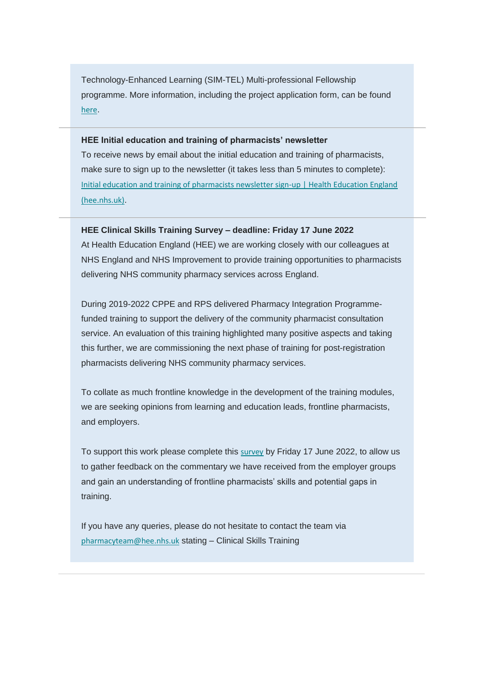Technology-Enhanced Learning (SIM-TEL) Multi-professional Fellowship programme. More information, including the project application form, can be found [here](https://communitypharmacyss.us7.list-manage.com/track/click?u=33f7e892f0f58b8b9ecc659cf&id=f8f43afdef&e=2bf65ab530).

#### **HEE Initial education and training of pharmacists' newsletter**

To receive news by email about the initial education and training of pharmacists, make sure to sign up to the newsletter (it takes less than 5 minutes to complete): [Initial education and training of pharmacists newsletter sign-up | Health Education England](https://communitypharmacyss.us7.list-manage.com/track/click?u=33f7e892f0f58b8b9ecc659cf&id=1e632bb8b2&e=2bf65ab530)  [\(hee.nhs.uk\)](https://communitypharmacyss.us7.list-manage.com/track/click?u=33f7e892f0f58b8b9ecc659cf&id=1e632bb8b2&e=2bf65ab530).

#### **HEE Clinical Skills Training Survey – deadline: Friday 17 June 2022**

At Health Education England (HEE) we are working closely with our colleagues at NHS England and NHS Improvement to provide training opportunities to pharmacists delivering NHS community pharmacy services across England.

During 2019-2022 CPPE and RPS delivered Pharmacy Integration Programmefunded training to support the delivery of the community pharmacist consultation service. An evaluation of this training highlighted many positive aspects and taking this further, we are commissioning the next phase of training for post-registration pharmacists delivering NHS community pharmacy services.

To collate as much frontline knowledge in the development of the training modules, we are seeking opinions from learning and education leads, frontline pharmacists, and employers.

To support this work please complete this [survey](https://communitypharmacyss.us7.list-manage.com/track/click?u=33f7e892f0f58b8b9ecc659cf&id=724a290abb&e=2bf65ab530) by Friday 17 June 2022, to allow us to gather feedback on the commentary we have received from the employer groups and gain an understanding of frontline pharmacists' skills and potential gaps in training.

If you have any queries, please do not hesitate to contact the team via [pharmacyteam@hee.nhs.uk](mailto:pharmacyteam@hee.nhs.uk) stating – Clinical Skills Training